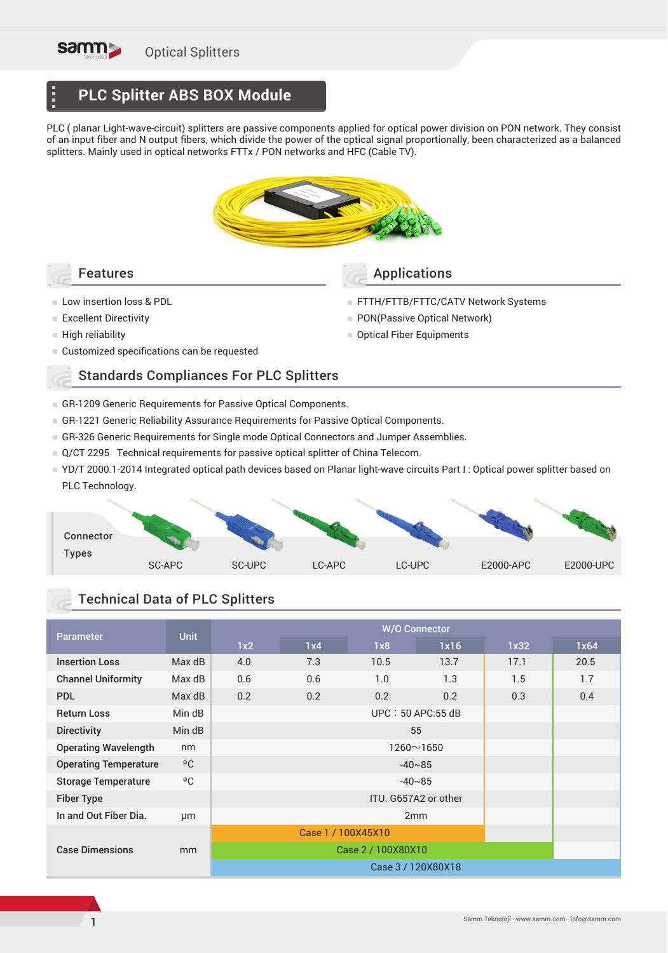

Ē

# **PLC Splitter ABS BOX Module**

PLC ( planar Light-wave-circuit) splitters are passive components applied for optical power division on PON network. They consist of an input fiber and N output fibers, which divide the power of the optical signal proportionally, been characterized as a balanced splitters. Mainly used in optical networks FTTx / PON networks and HFC (Cable TV).



Connector Types SC-APC SC-UPC LC-APC LC-UPC E2000-APC E2000-UPC

## Technical Data of PLC Splitters

| <b>Parameter</b>             | <b>Unit</b> | <b>W/O Connector</b> |                  |      |      |      |      |  |
|------------------------------|-------------|----------------------|------------------|------|------|------|------|--|
|                              |             | 1x2                  | 1x4              | 1x8  | 1x16 | 1x32 | 1x64 |  |
| <b>Insertion Loss</b>        | Max dB      | 4.0                  | 7.3              | 10.5 | 13.7 | 17.1 | 20.5 |  |
| <b>Channel Uniformity</b>    | Max dB      | 0.6                  | 0.6              | 1.0  | 1.3  | 1.5  | 1.7  |  |
| <b>PDL</b>                   | Max dB      | 0.2                  | 0.2              | 0.2  | 0.2  | 0.3  | 0.4  |  |
| <b>Return Loss</b>           | Min dB      | $UPC: 50$ APC:55 dB  |                  |      |      |      |      |  |
| <b>Directivity</b>           | Min dB      |                      |                  |      |      |      |      |  |
| <b>Operating Wavelength</b>  | nm          |                      |                  |      |      |      |      |  |
| <b>Operating Temperature</b> | °C          |                      |                  |      |      |      |      |  |
| <b>Storage Temperature</b>   | °C          |                      |                  |      |      |      |      |  |
| <b>Fiber Type</b>            |             | ITU. G657A2 or other |                  |      |      |      |      |  |
| In and Out Fiber Dia.        | µm          | 2mm                  |                  |      |      |      |      |  |
|                              |             | Case 1 / 100X45X10   |                  |      |      |      |      |  |
| <b>Case Dimensions</b>       | mm          |                      | Case 2/100X80X10 |      |      |      |      |  |
|                              |             | Case 3/120X80X18     |                  |      |      |      |      |  |